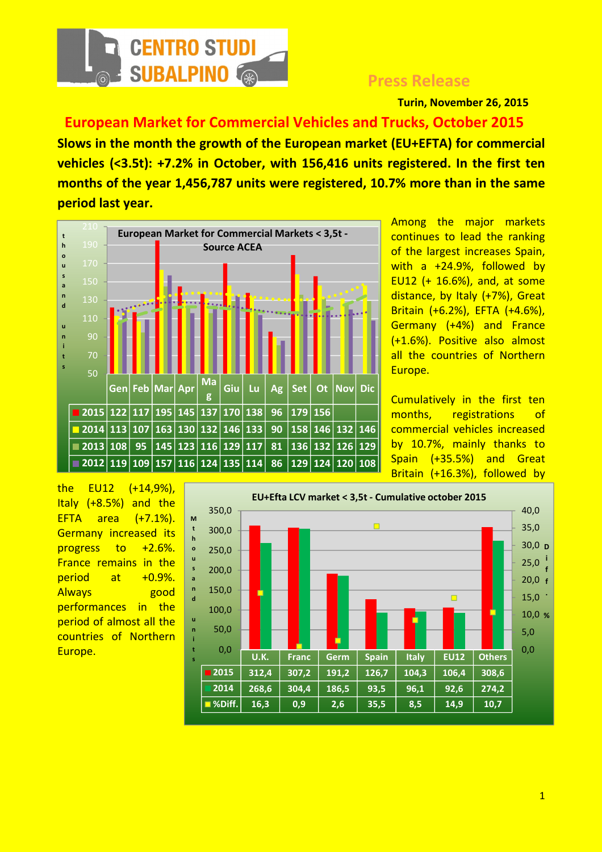

## Press Release

Turin, November 26, 2015

 European Market for Commercial Vehicles and Trucks, October 2015 Slows in the month the growth of the European market (EU+EFTA) for commercial vehicles (<3.5t): +7.2% in October, with 156,416 units registered. In the first ten months of the year 1,456,787 units were registered, 10.7% more than in the same period last year.



Among the major markets continues to lead the ranking of the largest increases Spain, with a +24.9%, followed by EU12 (+ 16.6%), and, at some distance, by Italy (+7%), Great Britain (+6.2%), EFTA (+4.6%), Germany (+4%) and France (+1.6%). Positive also almost all the countries of Northern Europe.

Cumulatively in the first ten months, registrations of commercial vehicles increased by 10.7%, mainly thanks to Spain (+35.5%) and Great Britain (+16.3%), followed by

the EU12 (+14,9%), Italy (+8.5%) and the EFTA area (+7.1%). Germany increased its progress to +2.6%. France remains in the period at +0.9%. Always good performances in the period of almost all the countries of Northern Europe.

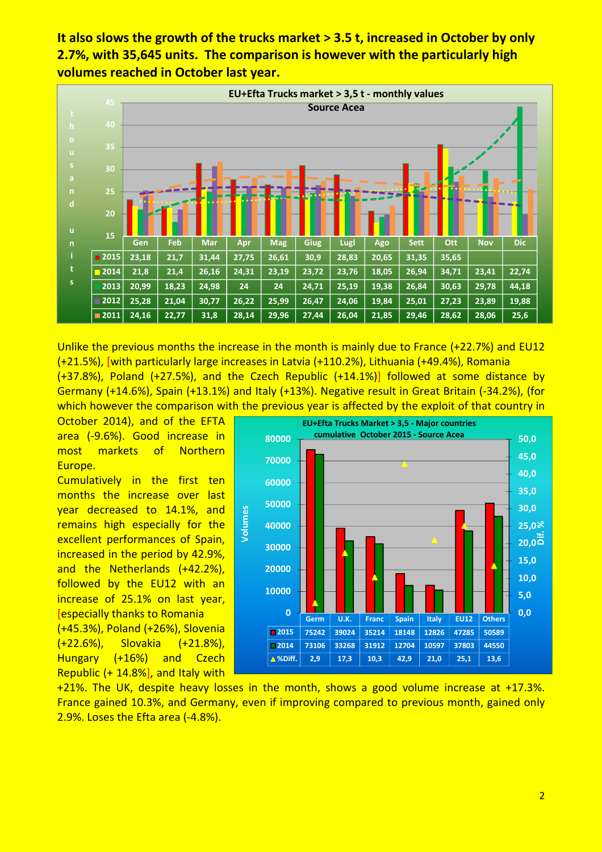It also slows the growth of the trucks market > 3.5 t, increased in October by only 2.7%, with 35,645 units. The comparison is however with the particularly high volumes reached in October last year.



Unlike the previous months the increase in the month is mainly due to France (+22.7%) and EU12 (+21.5%), [with particularly large increases in Latvia (+110.2%), Lithuania (+49.4%), Romania (+37.8%), Poland (+27.5%), and the Czech Republic (+14.1%)] followed at some distance by Germany (+14.6%), Spain (+13.1%) and Italy (+13%). Negative result in Great Britain (-34.2%), (for which however the comparison with the previous year is affected by the exploit of that country in

October 2014), and of the EFTA area (-9.6%). Good increase in most markets of Northern Europe.

Cumulatively in the first ten months the increase over last year decreased to 14.1%, and remains high especially for the excellent performances of Spain, increased in the period by 42.9%, and the Netherlands (+42.2%), followed by the EU12 with an increase of 25.1% on last year, [especially thanks to Romania (+45.3%), Poland (+26%), Slovenia (+22.6%), Slovakia (+21.8%), Hungary (+16%) and Czech Republic (+ 14.8%], and Italy with



+21%. The UK, despite heavy losses in the month, shows a good volume increase at +17.3%. France gained 10.3%, and Germany, even if improving compared to previous month, gained only 2.9%. Loses the Efta area (-4.8%).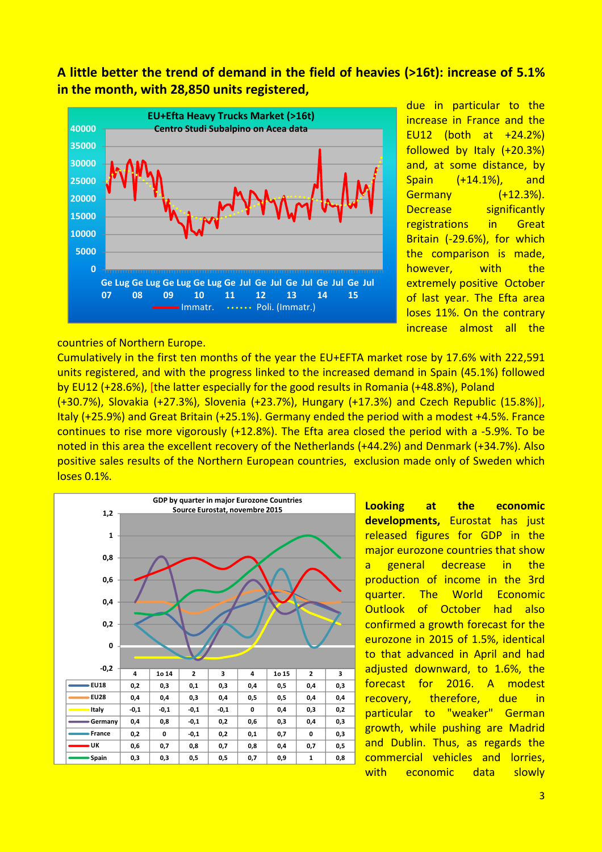A little better the trend of demand in the field of heavies (>16t): increase of 5.1% in the month, with 28,850 units registered,



due in particular to the increase in France and the EU12 (both at +24.2%) followed by Italy (+20.3%) and, at some distance, by Spain (+14.1%), and Germany (+12.3%). Decrease significantly registrations in Great Britain (-29.6%), for which the comparison is made, however, with the extremely positive October of last year. The Efta area loses 11%. On the contrary increase almost all the

## countries of Northern Europe.

Cumulatively in the first ten months of the year the EU+EFTA market rose by 17.6% with 222,591 units registered, and with the progress linked to the increased demand in Spain (45.1%) followed by EU12 (+28.6%), [the latter especially for the good results in Romania (+48.8%), Poland

(+30.7%), Slovakia (+27.3%), Slovenia (+23.7%), Hungary (+17.3%) and Czech Republic (15.8%)], Italy (+25.9%) and Great Britain (+25.1%). Germany ended the period with a modest +4.5%. France continues to rise more vigorously (+12.8%). The Efta area closed the period with a -5.9%. To be noted in this area the excellent recovery of the Netherlands (+44.2%) and Denmark (+34.7%). Also positive sales results of the Northern European countries, exclusion made only of Sweden which loses 0.1%.



Looking at the economic developments, Eurostat has just released figures for GDP in the major eurozone countries that show a general decrease in the production of income in the 3rd quarter. The World Economic Outlook of October had also confirmed a growth forecast for the eurozone in 2015 of 1.5%, identical to that advanced in April and had adjusted downward, to 1.6%, the forecast for 2016. A modest recovery, therefore, due in particular to "weaker" German growth, while pushing are Madrid and Dublin. Thus, as regards the commercial vehicles and lorries, with economic data slowly